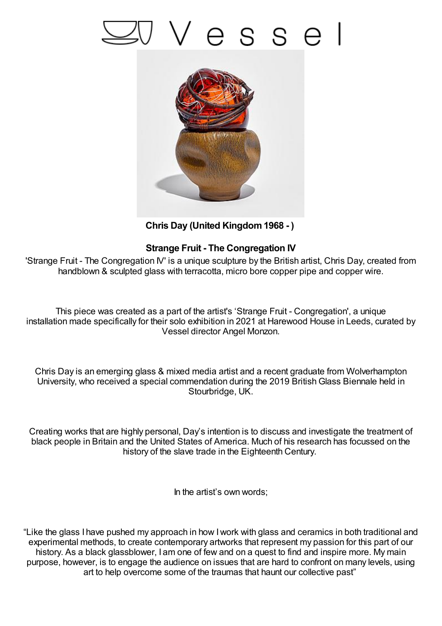## 'esse



**Chris Day (United Kingdom1968 - )**

## **Strange Fruit - The Congregation IV**

'Strange Fruit - The Congregation IV' is a unique sculpture by the British artist, Chris Day, created from handblown & sculpted glass with terracotta, micro bore copper pipe and copper wire.

This piece was created as a part of the artist's 'Strange Fruit - Congregation', a unique installation made specifically for their solo exhibition in 2021 at Harewood House in Leeds, curated by Vessel director Angel Monzon.

Chris Day is an emerging glass & mixed media artist and a recent graduate from Wolverhampton University, who received a special commendation during the 2019 BritishGlass Biennale held in Stourbridge, UK.

Creating works that are highly personal, Day's intention is to discuss and investigate the treatment of black people in Britain and the United States of America. Much of his research has focussed on the history of the slave trade in the Eighteenth Century.

In the artist's own words;

"Like the glass I have pushed my approach in how Iwork with glass and ceramics in both traditional and experimental methods, to create contemporary artworks that represent my passion for this part of our history. As a black glassblower, I am one of few and on a quest to find and inspire more. My main purpose, however, is to engage the audience on issues that are hard to confront on many levels, using art to help overcome some of the traumas that haunt our collective past"